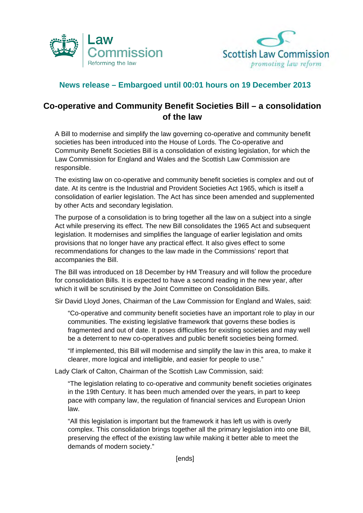



## **News release – Embargoed until 00:01 hours on 19 December 2013**

## **Co-operative and Community Benefit Societies Bill – a consolidation of the law**

A Bill to modernise and simplify the law governing co-operative and community benefit societies has been introduced into the House of Lords. The Co-operative and Community Benefit Societies Bill is a consolidation of existing legislation, for which the Law Commission for England and Wales and the Scottish Law Commission are responsible.

The existing law on co-operative and community benefit societies is complex and out of date. At its centre is the Industrial and Provident Societies Act 1965, which is itself a consolidation of earlier legislation. The Act has since been amended and supplemented by other Acts and secondary legislation.

The purpose of a consolidation is to bring together all the law on a subject into a single Act while preserving its effect. The new Bill consolidates the 1965 Act and subsequent legislation. It modernises and simplifies the language of earlier legislation and omits provisions that no longer have any practical effect. It also gives effect to some recommendations for changes to the law made in the Commissions' report that accompanies the Bill.

The Bill was introduced on 18 December by HM Treasury and will follow the procedure for consolidation Bills. It is expected to have a second reading in the new year, after which it will be scrutinised by the Joint Committee on Consolidation Bills.

Sir David Lloyd Jones, Chairman of the Law Commission for England and Wales, said:

"Co-operative and community benefit societies have an important role to play in our communities. The existing legislative framework that governs these bodies is fragmented and out of date. It poses difficulties for existing societies and may well be a deterrent to new co-operatives and public benefit societies being formed.

"If implemented, this Bill will modernise and simplify the law in this area, to make it clearer, more logical and intelligible, and easier for people to use."

Lady Clark of Calton, Chairman of the Scottish Law Commission, said:

"The legislation relating to co-operative and community benefit societies originates in the 19th Century. It has been much amended over the years, in part to keep pace with company law, the regulation of financial services and European Union law.

"All this legislation is important but the framework it has left us with is overly complex. This consolidation brings together all the primary legislation into one Bill, preserving the effect of the existing law while making it better able to meet the demands of modern society."

[ends]